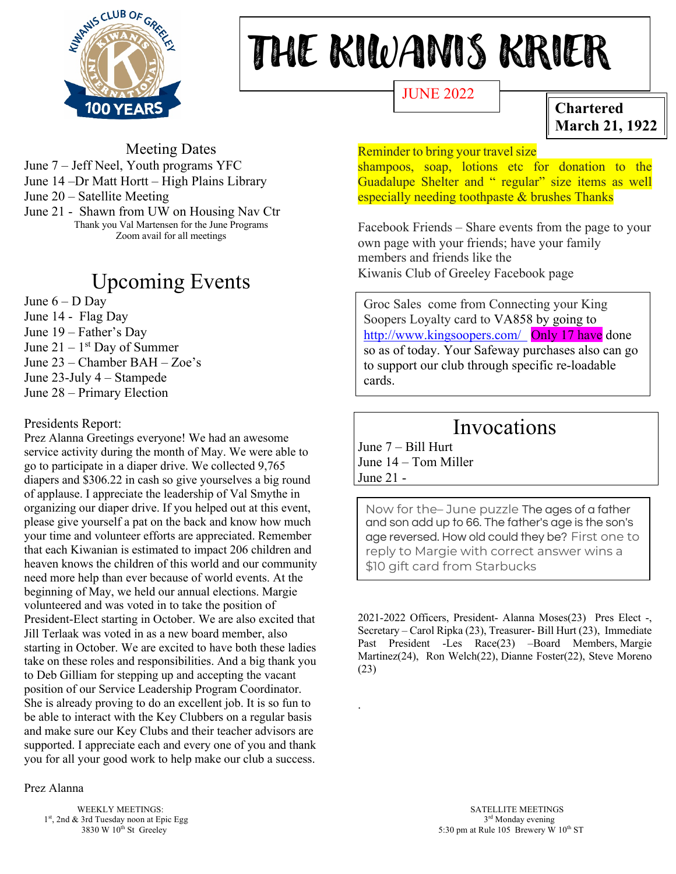

# THE KIWANIS KRIER

JUNE 2022

**Chartered March 21, 1922**

### Meeting Dates

June 7 – Jeff Neel, Youth programs YFC

June 14 –Dr Matt Hortt – High Plains Library

June 20 – Satellite Meeting

June 21 - Shawn from UW on Housing Nav Ctr Thank you Val Martensen for the June Programs Zoom avail for all meetings

# Upcoming Events

#### June  $6 - D$  Day

June 14 - Flag Day June 19 – Father's Day June  $21 - 1$ <sup>st</sup> Day of Summer June 23 – Chamber BAH – Zoe's June 23-July 4 – Stampede June 28 – Primary Election

### Presidents Report:

Prez Alanna Greetings everyone! We had an awesome service activity during the month of May. We were able to go to participate in a diaper drive. We collected 9,765 diapers and \$306.22 in cash so give yourselves a big round of applause. I appreciate the leadership of Val Smythe in organizing our diaper drive. If you helped out at this event, please give yourself a pat on the back and know how much your time and volunteer efforts are appreciated. Remember that each Kiwanian is estimated to impact 206 children and heaven knows the children of this world and our community need more help than ever because of world events. At the beginning of May, we held our annual elections. Margie volunteered and was voted in to take the position of President-Elect starting in October. We are also excited that Jill Terlaak was voted in as a new board member, also starting in October. We are excited to have both these ladies take on these roles and responsibilities. And a big thank you to Deb Gilliam for stepping up and accepting the vacant position of our Service Leadership Program Coordinator. She is already proving to do an excellent job. It is so fun to be able to interact with the Key Clubbers on a regular basis and make sure our Key Clubs and their teacher advisors are supported. I appreciate each and every one of you and thank you for all your good work to help make our club a success.

#### Prez Alanna

1st, 2nd & 3rd Tuesday noon at Epic Egg

## Reminder to bring your travel size

shampoos, soap, lotions etc for donation to the Guadalupe Shelter and " regular" size items as well especially needing toothpaste & brushes Thanks

Facebook Friends – Share events from the page to your own page with your friends; have your family members and friends like the Kiwanis Club of Greeley Facebook page

Groc Sales come from Connecting your King Soopers Loyalty card to VA858 by going to http://www.kingsoopers.com/ Only 17 have done so as of today. Your Safeway purchases also can go to support our club through specific re-loadable cards.

# Invocations

June 7 – Bill Hurt June 14 – Tom Miller June 21 -

.

Now for the– June puzzle The ages of a father and son add up to 66. The father's age is the son's age reversed. How old could they be? First one to reply to Margie with correct answer wins a \$10 gift card from Starbucks

2021-2022 Officers, President- Alanna Moses(23) Pres Elect -, Secretary – Carol Ripka (23), Treasurer- Bill Hurt (23), Immediate Past President -Les Race(23) –Board Members, Margie Martinez(24), Ron Welch(22), Dianne Foster(22), Steve Moreno (23)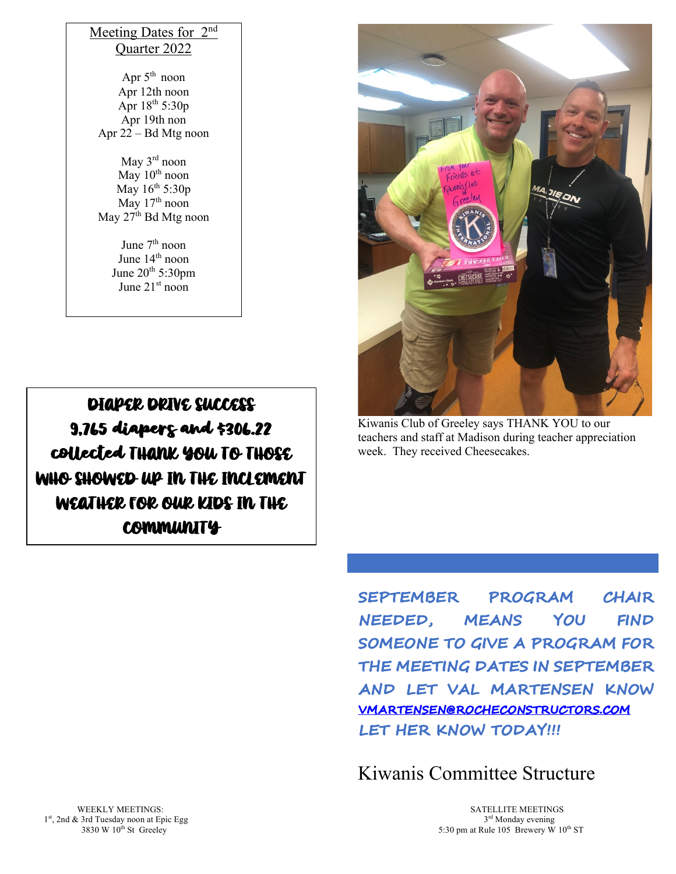## Meeting Dates for 2nd Quarter 2022

Apr  $5<sup>th</sup>$  noon Apr 12th noon Apr  $18^{th}$  5:30p Apr 19th non Apr 22 – Bd Mtg noon

May 3<sup>rd</sup> noon May  $10<sup>th</sup>$  noon May  $16^{th}$  5:30p May  $17^{\text{th}}$  noon May 27<sup>th</sup> Bd Mtg noon

> June  $7<sup>th</sup>$  noon June 14<sup>th</sup> noon June  $20<sup>th</sup> 5:30<sub>pm</sub>$ June 21<sup>st</sup> noon

DIAPER DRIVE SUCCESS 9,765 diapers and \$306.22 collected THANK YOU TO THOSE WHO SHOWED UP IN THE INCLEMENT WEATHER FOR OUR KIDS IN THE COMMUNITY



Kiwanis Club of Greeley says THANK YOU to our teachers and staff at Madison during teacher appreciation week. They received Cheesecakes.

**SEPTEMBER PROGRAM CHAIR NEEDED, MEANS YOU FIND SOMEONE TO GIVE A PROGRAM FOR THE MEETING DATES IN SEPTEMBER AND LET VAL MARTENSEN KNOW VMARTENSEN@ROCHECONSTRUCTORS.COM**  LET HER KNOW TODAY!!!

Kiwanis Committee Structure